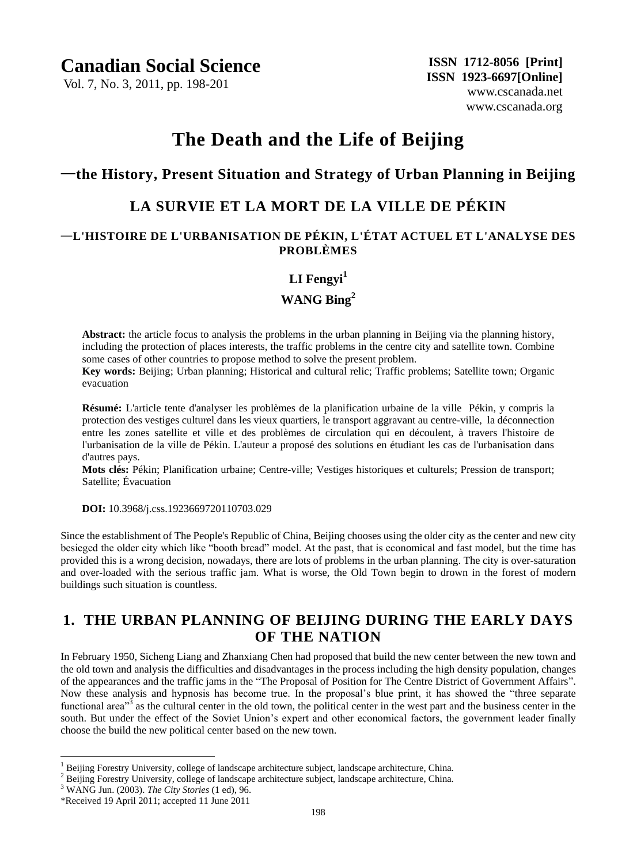## **Canadian Social Science**

Vol. 7, No. 3, 2011, pp. 198-201

# **The Death and the Life of Beijing**

## —**the History, Present Situation and Strategy of Urban Planning in Beijing**

## **LA SURVIE ET LA MORT DE LA VILLE DE PÉKIN**

#### —**L'HISTOIRE DE L'URBANISATION DE PÉKIN, L'ÉTAT ACTUEL ET L'ANALYSE DES PROBLÈMES**

### **LI Fengyi<sup>1</sup>**

### **WANG Bing<sup>2</sup>**

**Abstract:** the article focus to analysis the problems in the urban planning in Beijing via the planning history, including the protection of places interests, the traffic problems in the centre city and satellite town. Combine some cases of other countries to propose method to solve the present problem.

**Key words:** Beijing; Urban planning; Historical and cultural relic; Traffic problems; Satellite town; Organic evacuation

**Résumé:** L'article tente d'analyser les problèmes de la planification urbaine de la ville Pékin, y compris la protection des vestiges culturel dans les vieux quartiers, le transport aggravant au centre-ville, la déconnection entre les zones satellite et ville et des problèmes de circulation qui en découlent, à travers l'histoire de l'urbanisation de la ville de Pékin. L'auteur a proposé des solutions en étudiant les cas de l'urbanisation dans d'autres pays.

**Mots clés:** Pékin; Planification urbaine; Centre-ville; Vestiges historiques et culturels; Pression de transport; Satellite; Évacuation

 **DOI:** 10.3968/j.css.1923669720110703.029

Since the establishment of The People's Republic of China, Beijing chooses using the older city as the center and new city besieged the older city which like "booth bread" model. At the past, that is economical and fast model, but the time has provided this is a wrong decision, nowadays, there are lots of problems in the urban planning. The city is over-saturation and over-loaded with the serious traffic jam. What is worse, the Old Town begin to drown in the forest of modern buildings such situation is countless.

## **1. THE URBAN PLANNING OF BEIJING DURING THE EARLY DAYS OF THE NATION**

In February 1950, Sicheng Liang and Zhanxiang Chen had proposed that build the new center between the new town and the old town and analysis the difficulties and disadvantages in the process including the high density population, changes of the appearances and the traffic jams in the "The Proposal of Position for The Centre District of Government Affairs". Now these analysis and hypnosis has become true. In the proposal"s blue print, it has showed the "three separate functional area<sup> $3\frac{3}{3}$ </sup> as the cultural center in the old town, the political center in the west part and the business center in the south. But under the effect of the Soviet Union"s expert and other economical factors, the government leader finally choose the build the new political center based on the new town.

 $\overline{a}$ 

<sup>&</sup>lt;sup>1</sup> Beijing Forestry University, college of landscape architecture subject, landscape architecture, China.

<sup>&</sup>lt;sup>2</sup> Beijing Forestry University, college of landscape architecture subject, landscape architecture, China.

<sup>3</sup> WANG Jun. (2003). *The City Stories* (1 ed), 96.

<sup>\*</sup>Received 19 April 2011; accepted 11 June 2011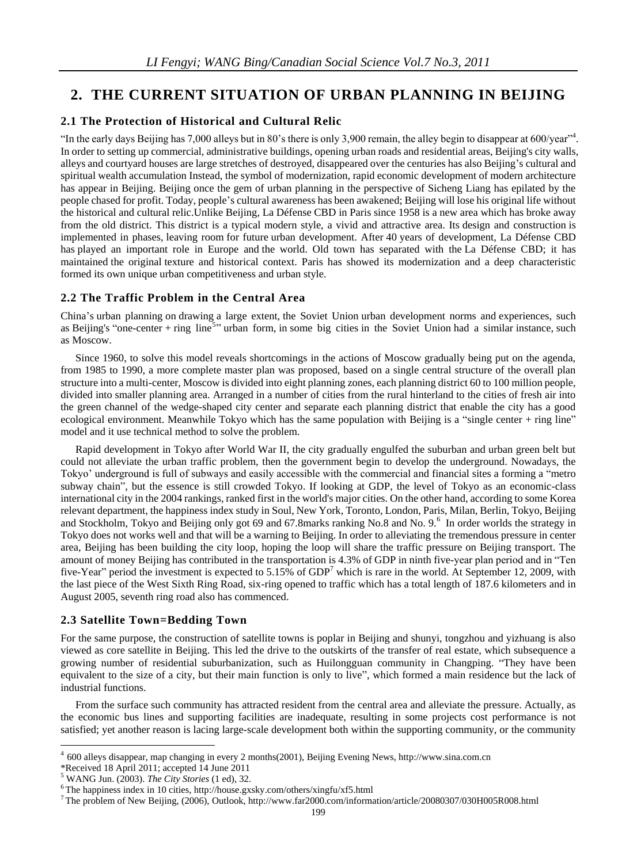## **2. THE CURRENT SITUATION OF URBAN PLANNING IN BEIJING**

#### **2.1 The Protection of Historical and Cultural Relic**

"In the early days Beijing has 7,000 alleys but in 80's there is only 3,900 remain, the alley begin to disappear at 600/year". In order to setting up commercial, administrative buildings, opening urban roads and residential areas, Beijing's city walls, alleys and courtyard houses are large stretches of destroyed, disappeared over the centuries has also Beijing"s cultural and spiritual wealth accumulation Instead, the symbol of modernization, rapid economic development of modern architecture has appear in Beijing. Beijing once the gem of urban planning in the perspective of Sicheng Liang has epilated by the people chased for profit. Today, people"s cultural awareness has been awakened; Beijing will lose his original life without the historical and cultural relic.Unlike Beijing, La Défense CBD in Paris since 1958 is a new area which has broke away from the old district. This district is a typical modern style, a vivid and attractive area. Its design and construction is implemented in phases, leaving room for future urban development. After 40 years of development, La Défense CBD has played an important role in Europe and the world. Old town has separated with the La Defense CBD; it has maintained the original texture and historical context. Paris has showed its modernization and a deep characteristic formed its own unique urban competitiveness and urban style.

#### **2.2 The Traffic Problem in the Central Area**

China"s urban planning on drawing a large extent, the Soviet Union urban development norms and experiences, such as Beijing's "one-center + ring line<sup>5</sup>" urban form, in some big cities in the Soviet Union had a similar instance, such as Moscow.

Since 1960, to solve this model reveals shortcomings in the actions of Moscow gradually being put on the agenda, from 1985 to 1990, a more complete master plan was proposed, based on a single central structure of the overall plan structure into a multi-center, Moscow is divided into eight planning zones, each planning district 60 to 100 million people, divided into smaller planning area. Arranged in a number of cities from the rural hinterland to the cities of fresh air into the green channel of the wedge-shaped city center and separate each planning district that enable the city has a good ecological environment. Meanwhile Tokyo which has the same population with Beijing is a "single center + ring line" model and it use technical method to solve the problem.

Rapid development in Tokyo after World War II, the city gradually engulfed the suburban and urban green belt but could not alleviate the urban traffic problem, then the government begin to develop the underground. Nowadays, the Tokyo" underground is full of subways and easily accessible with the commercial and financial sites a forming a "metro subway chain", but the essence is still crowded Tokyo. If looking at GDP, the level of Tokyo as an economic-class international city in the 2004 rankings, ranked first in the world's major cities. On the other hand, according to some Korea relevant department, the happiness index study in Soul, New York, Toronto, London, Paris, Milan, Berlin, Tokyo, Beijing and Stockholm, Tokyo and Beijing only got 69 and 67.8marks ranking No.8 and No. 9.<sup>6</sup> In order worlds the strategy in Tokyo does not works well and that will be a warning to Beijing. In order to alleviating the tremendous pressure in center area, Beijing has been building the city loop, hoping the loop will share the traffic pressure on Beijing transport. The amount of money Beijing has contributed in the transportation is 4.3% of GDP in ninth five-year plan period and in "Ten five-Year" period the investment is expected to 5.15% of GDP<sup>7</sup> which is rare in the world. At September 12, 2009, with the last piece of the West Sixth Ring Road, six-ring opened to traffic which has a total length of 187.6 kilometers and in August 2005, seventh ring road also has commenced.

#### **2.3 Satellite Town=Bedding Town**

For the same purpose, the construction of satellite towns is poplar in Beijing and shunyi, tongzhou and yizhuang is also viewed as core satellite in Beijing. This led the drive to the outskirts of the transfer of real estate, which subsequence a growing number of residential suburbanization, such as Huilongguan community in Changping. "They have been equivalent to the size of a city, but their main function is only to live", which formed a main residence but the lack of industrial functions.

From the surface such community has attracted resident from the central area and alleviate the pressure. Actually, as the economic bus lines and supporting facilities are inadequate, resulting in some projects cost performance is not satisfied; yet another reason is lacing large-scale development both within the supporting community, or the community

 4 600 alleys disappear, map changing in every 2 months(2001), Beijing Evening News, http://www.sina.com.cn

<sup>\*</sup>Received 18 April 2011; accepted 14 June 2011

<sup>5</sup> WANG Jun. (2003). *The City Stories* (1 ed), 32.

 $6$ The happiness index in 10 cities, http://house.gxsky.com/others/xingfu/xf5.html

<sup>7</sup> The problem of New Beijing, (2006), Outlook, http://www.far2000.com/information/article/20080307/030H005R008.html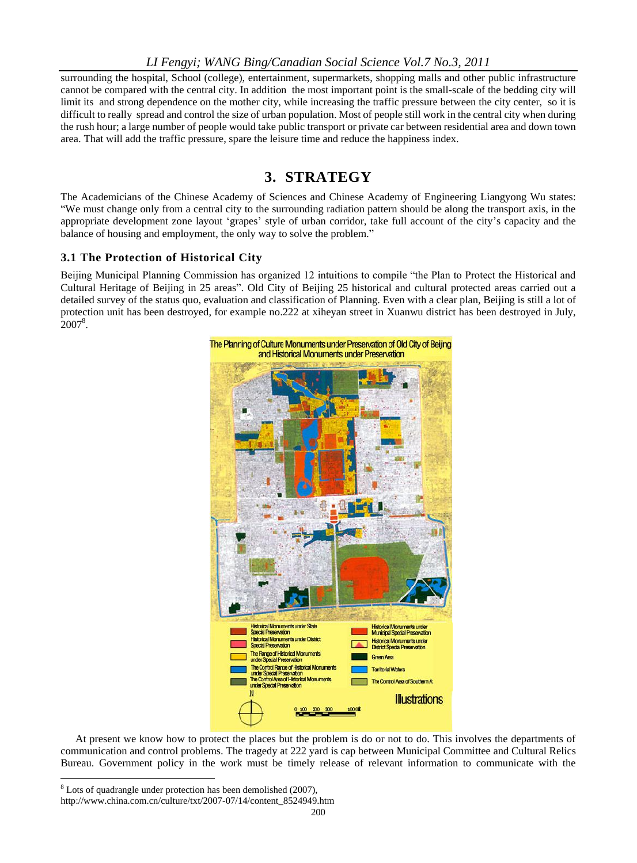#### *LI Fengyi; WANG Bing/Canadian Social Science Vol.7 No.3, 2011*

surrounding the hospital, School (college), entertainment, supermarkets, shopping malls and other public infrastructure cannot be compared with the central city. In addition the most important point is the small-scale of the bedding city will limit its and strong dependence on the mother city, while increasing the traffic pressure between the city center, so it is difficult to really spread and control the size of urban population. Most of people still work in the central city when during the rush hour; a large number of people would take public transport or private car between residential area and down town area. That will add the traffic pressure, spare the leisure time and reduce the happiness index.

## **3. STRATEGY**

The Academicians of the Chinese Academy of Sciences and Chinese Academy of Engineering Liangyong Wu states: "We must change only from a central city to the surrounding radiation pattern should be along the transport axis, in the appropriate development zone layout "grapes" style of urban corridor, take full account of the city"s capacity and the balance of housing and employment, the only way to solve the problem."

#### **3.1 The Protection of Historical City**

Beijing Municipal Planning Commission has organized 12 intuitions to compile "the Plan to Protect the Historical and Cultural Heritage of Beijing in 25 areas". Old City of Beijing 25 historical and cultural protected areas carried out a detailed survey of the status quo, evaluation and classification of Planning. Even with a clear plan, Beijing is still a lot of protection unit has been destroyed, for example no.222 at xiheyan street in Xuanwu district has been destroyed in July,  $2007^8$ .



At present we know how to protect the places but the problem is do or not to do. This involves the departments of communication and control problems. The tragedy at 222 yard is cap between Municipal Committee and Cultural Relics Bureau. Government policy in the work must be timely release of relevant information to communicate with the

 $\overline{a}$ 

<sup>8</sup> Lots of quadrangle under protection has been demolished (2007),

http://www.china.com.cn/culture/txt/2007-07/14/content\_8524949.htm